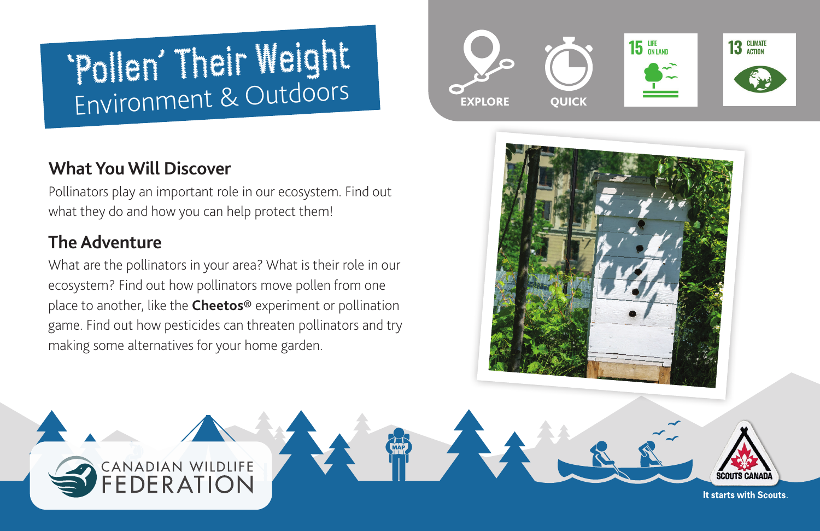# 'Pollen' Their Weight Environment & Outdoors

# **What You Will Discover**

Pollinators play an important role in our ecosystem. Find out what they do and how you can help protect them!

# **The Adventure**

What are the pollinators in your area? What is their role in our ecosystem? Find out how pollinators move pollen from one place to another, like the **[Cheetos®](https://www.cheetos.com)** experiment or pollination game. Find out how pesticides can threaten pollinators and try making some alternatives for your home garden.

CANADIAN WILDLIFE





It starts with Scouts.